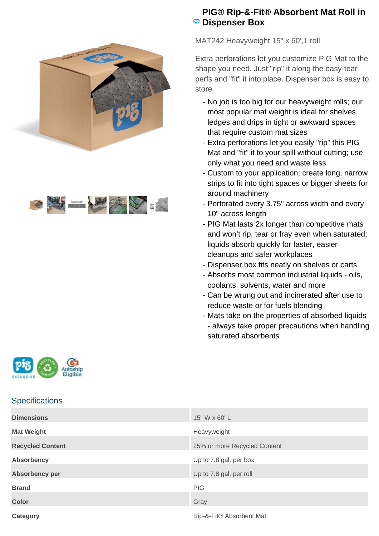



## **PIG® Rip-&-Fit® Absorbent Mat Roll in PB** Dispenser Box

MAT242 Heavyweight,15" x 60',1 roll

Extra perforations let you customize PIG Mat to the shape you need. Just "rip" it along the easy-tear perfs and "fit" it into place. Dispenser box is easy to store.

- No job is too big for our heavyweight rolls; our most popular mat weight is ideal for shelves, ledges and drips in tight or awkward spaces that require custom mat sizes
- Extra perforations let you easily "rip" this PIG Mat and "fit" it to your spill without cutting; use only what you need and waste less
- Custom to your application; create long, narrow strips to fit into tight spaces or bigger sheets for around machinery
- Perforated every 3.75" across width and every 10" across length
- PIG Mat lasts 2x longer than competitive mats and won't rip, tear or fray even when saturated; liquids absorb quickly for faster, easier cleanups and safer workplaces
- Dispenser box fits neatly on shelves or carts
- Absorbs most common industrial liquids oils, coolants, solvents, water and more
- Can be wrung out and incinerated after use to reduce waste or for fuels blending
- Mats take on the properties of absorbed liquids - always take proper precautions when handling saturated absorbents



## **Specifications**

| <b>Dimensions</b>       | 15" W x 60' L                |
|-------------------------|------------------------------|
| <b>Mat Weight</b>       | Heavyweight                  |
| <b>Recycled Content</b> | 25% or more Recycled Content |
| Absorbency              | Up to 7.8 gal. per box       |
| Absorbency per          | Up to 7.8 gal. per roll      |
| <b>Brand</b>            | PIG                          |
| <b>Color</b>            | Gray                         |
| Category                | Rip-&-Fit® Absorbent Mat     |